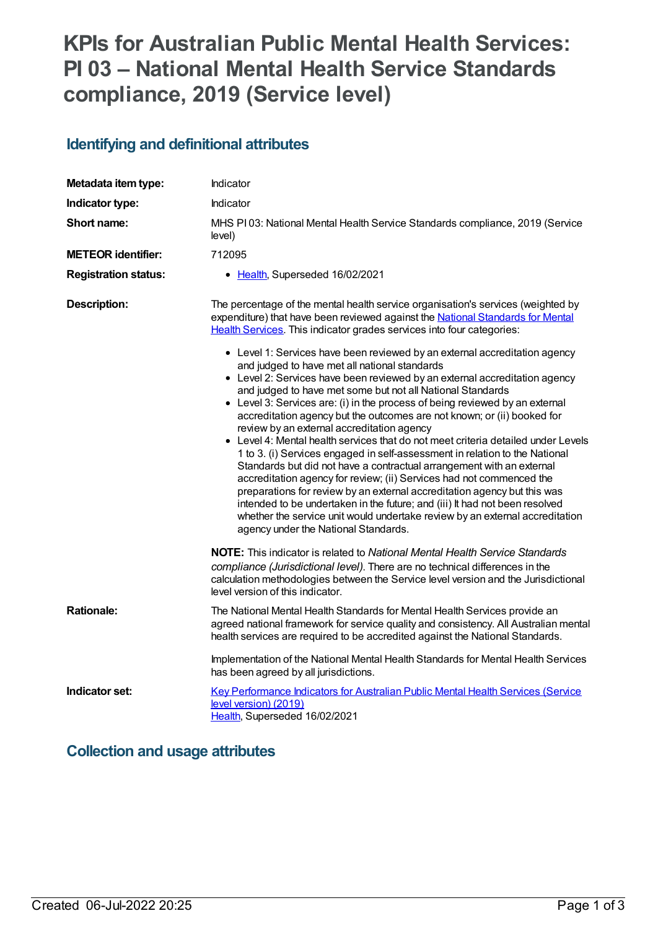# **KPIs for Australian Public Mental Health Services: PI 03 – National Mental Health Service Standards compliance, 2019 (Service level)**

# **Identifying and definitional attributes**

| Metadata item type:         | Indicator                                                                                                                                                                                                                                                                                                                                                                                                                                                                                                                                                                                                                                                                                                                                                                                                                                                                                                                                                                                                                                                                                                                                                                                                                                                                                                                               |  |
|-----------------------------|-----------------------------------------------------------------------------------------------------------------------------------------------------------------------------------------------------------------------------------------------------------------------------------------------------------------------------------------------------------------------------------------------------------------------------------------------------------------------------------------------------------------------------------------------------------------------------------------------------------------------------------------------------------------------------------------------------------------------------------------------------------------------------------------------------------------------------------------------------------------------------------------------------------------------------------------------------------------------------------------------------------------------------------------------------------------------------------------------------------------------------------------------------------------------------------------------------------------------------------------------------------------------------------------------------------------------------------------|--|
| Indicator type:             | Indicator                                                                                                                                                                                                                                                                                                                                                                                                                                                                                                                                                                                                                                                                                                                                                                                                                                                                                                                                                                                                                                                                                                                                                                                                                                                                                                                               |  |
| Short name:                 | MHS PI03: National Mental Health Service Standards compliance, 2019 (Service<br>level)                                                                                                                                                                                                                                                                                                                                                                                                                                                                                                                                                                                                                                                                                                                                                                                                                                                                                                                                                                                                                                                                                                                                                                                                                                                  |  |
| <b>METEOR identifier:</b>   | 712095                                                                                                                                                                                                                                                                                                                                                                                                                                                                                                                                                                                                                                                                                                                                                                                                                                                                                                                                                                                                                                                                                                                                                                                                                                                                                                                                  |  |
| <b>Registration status:</b> | • Health, Superseded 16/02/2021                                                                                                                                                                                                                                                                                                                                                                                                                                                                                                                                                                                                                                                                                                                                                                                                                                                                                                                                                                                                                                                                                                                                                                                                                                                                                                         |  |
| <b>Description:</b>         | The percentage of the mental health service organisation's services (weighted by<br>expenditure) that have been reviewed against the National Standards for Mental<br>Health Services. This indicator grades services into four categories:<br>• Level 1: Services have been reviewed by an external accreditation agency<br>and judged to have met all national standards<br>• Level 2: Services have been reviewed by an external accreditation agency<br>and judged to have met some but not all National Standards<br>• Level 3: Services are: (i) in the process of being reviewed by an external<br>accreditation agency but the outcomes are not known; or (ii) booked for<br>review by an external accreditation agency<br>• Level 4: Mental health services that do not meet criteria detailed under Levels<br>1 to 3. (i) Services engaged in self-assessment in relation to the National<br>Standards but did not have a contractual arrangement with an external<br>accreditation agency for review; (ii) Services had not commenced the<br>preparations for review by an external accreditation agency but this was<br>intended to be undertaken in the future; and (iii) It had not been resolved<br>whether the service unit would undertake review by an external accreditation<br>agency under the National Standards. |  |
|                             | <b>NOTE:</b> This indicator is related to <i>National Mental Health Service Standards</i><br>compliance (Jurisdictional level). There are no technical differences in the<br>calculation methodologies between the Service level version and the Jurisdictional<br>level version of this indicator.                                                                                                                                                                                                                                                                                                                                                                                                                                                                                                                                                                                                                                                                                                                                                                                                                                                                                                                                                                                                                                     |  |
| <b>Rationale:</b>           | The National Mental Health Standards for Mental Health Services provide an<br>agreed national framework for service quality and consistency. All Australian mental<br>health services are required to be accredited against the National Standards.                                                                                                                                                                                                                                                                                                                                                                                                                                                                                                                                                                                                                                                                                                                                                                                                                                                                                                                                                                                                                                                                                     |  |
|                             | Implementation of the National Mental Health Standards for Mental Health Services<br>has been agreed by all jurisdictions.                                                                                                                                                                                                                                                                                                                                                                                                                                                                                                                                                                                                                                                                                                                                                                                                                                                                                                                                                                                                                                                                                                                                                                                                              |  |
| Indicator set:              | Key Performance Indicators for Australian Public Mental Health Services (Service<br>level version) (2019)<br>Health, Superseded 16/02/2021                                                                                                                                                                                                                                                                                                                                                                                                                                                                                                                                                                                                                                                                                                                                                                                                                                                                                                                                                                                                                                                                                                                                                                                              |  |

### **Collection and usage attributes**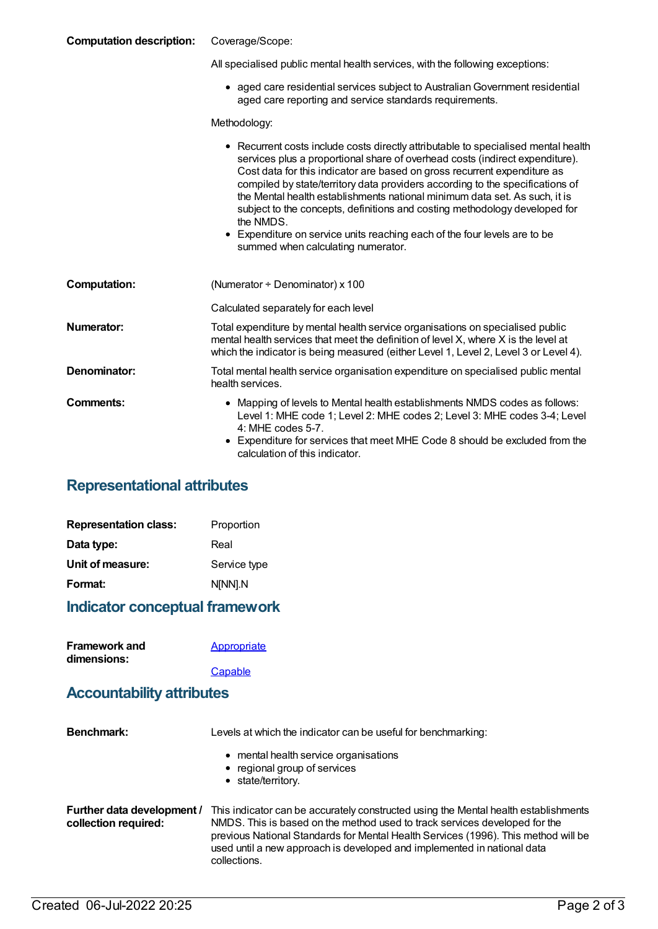#### **Computation description:** Coverage/Scope:

| All specialised public mental health services, with the following exceptions: |  |
|-------------------------------------------------------------------------------|--|

aged care residential services subject to AustralianGovernment residential aged care reporting and service standards requirements.

Methodology:

|                     | • Recurrent costs include costs directly attributable to specialised mental health<br>services plus a proportional share of overhead costs (indirect expenditure).<br>Cost data for this indicator are based on gross recurrent expenditure as<br>compiled by state/territory data providers according to the specifications of<br>the Mental health establishments national minimum data set. As such, it is<br>subject to the concepts, definitions and costing methodology developed for<br>the NMDS.<br>• Expenditure on service units reaching each of the four levels are to be<br>summed when calculating numerator. |
|---------------------|-----------------------------------------------------------------------------------------------------------------------------------------------------------------------------------------------------------------------------------------------------------------------------------------------------------------------------------------------------------------------------------------------------------------------------------------------------------------------------------------------------------------------------------------------------------------------------------------------------------------------------|
| <b>Computation:</b> | (Numerator $\div$ Denominator) x 100                                                                                                                                                                                                                                                                                                                                                                                                                                                                                                                                                                                        |
|                     | Calculated separately for each level                                                                                                                                                                                                                                                                                                                                                                                                                                                                                                                                                                                        |
| Numerator:          | Total expenditure by mental health service organisations on specialised public<br>mental health services that meet the definition of level X, where X is the level at<br>which the indicator is being measured (either Level 1, Level 2, Level 3 or Level 4).                                                                                                                                                                                                                                                                                                                                                               |
| Denominator:        | Total mental health service organisation expenditure on specialised public mental<br>health services.                                                                                                                                                                                                                                                                                                                                                                                                                                                                                                                       |
| <b>Comments:</b>    | • Mapping of levels to Mental health establishments NMDS codes as follows:<br>Level 1: MHE code 1; Level 2: MHE codes 2; Level 3: MHE codes 3-4; Level<br>$4:$ MHE codes 5-7.<br>• Expenditure for services that meet MHE Code 8 should be excluded from the<br>calculation of this indicator.                                                                                                                                                                                                                                                                                                                              |

### **Representational attributes**

| <b>Representation class:</b> | Proportion   |
|------------------------------|--------------|
| Data type:                   | Real         |
| Unit of measure:             | Service type |
| Format:                      | N[NN].N      |

#### **Indicator conceptual framework**

| <b>Framework and</b> | <b>Appropriate</b> |
|----------------------|--------------------|
| dimensions:          |                    |
|                      | Capable            |

#### **Accountability attributes**

| <b>Benchmark:</b>                                  | Levels at which the indicator can be useful for benchmarking:                                                                                                                                                                                                                                                                                      |  |
|----------------------------------------------------|----------------------------------------------------------------------------------------------------------------------------------------------------------------------------------------------------------------------------------------------------------------------------------------------------------------------------------------------------|--|
|                                                    | • mental health service organisations<br>• regional group of services<br>• state/territory.                                                                                                                                                                                                                                                        |  |
| Further data development /<br>collection required: | This indicator can be accurately constructed using the Mental health establishments<br>NMDS. This is based on the method used to track services developed for the<br>previous National Standards for Mental Health Services (1996). This method will be<br>used until a new approach is developed and implemented in national data<br>collections. |  |